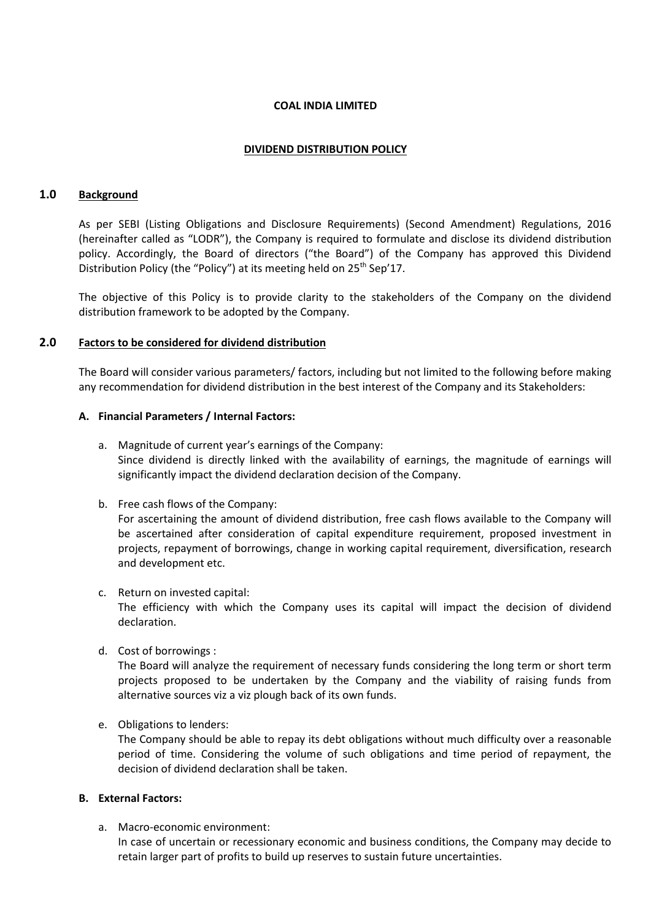### **COAL INDIA LIMITED**

## **DIVIDEND DISTRIBUTION POLICY**

## **1.0 Background**

As per SEBI (Listing Obligations and Disclosure Requirements) (Second Amendment) Regulations, 2016 (hereinafter called as "LODR"), the Company is required to formulate and disclose its dividend distribution policy. Accordingly, the Board of directors ("the Board") of the Company has approved this Dividend Distribution Policy (the "Policy") at its meeting held on 25<sup>th</sup> Sep'17.

The objective of this Policy is to provide clarity to the stakeholders of the Company on the dividend distribution framework to be adopted by the Company.

## **2.0 Factors to be considered for dividend distribution**

The Board will consider various parameters/ factors, including but not limited to the following before making any recommendation for dividend distribution in the best interest of the Company and its Stakeholders:

## **A. Financial Parameters / Internal Factors:**

- a. Magnitude of current year's earnings of the Company: Since dividend is directly linked with the availability of earnings, the magnitude of earnings will significantly impact the dividend declaration decision of the Company.
- b. Free cash flows of the Company:

For ascertaining the amount of dividend distribution, free cash flows available to the Company will be ascertained after consideration of capital expenditure requirement, proposed investment in projects, repayment of borrowings, change in working capital requirement, diversification, research and development etc.

- c. Return on invested capital: The efficiency with which the Company uses its capital will impact the decision of dividend declaration.
- d. Cost of borrowings :

The Board will analyze the requirement of necessary funds considering the long term or short term projects proposed to be undertaken by the Company and the viability of raising funds from alternative sources viz a viz plough back of its own funds.

e. Obligations to lenders:

The Company should be able to repay its debt obligations without much difficulty over a reasonable period of time. Considering the volume of such obligations and time period of repayment, the decision of dividend declaration shall be taken.

## **B. External Factors:**

a. Macro-economic environment:

In case of uncertain or recessionary economic and business conditions, the Company may decide to retain larger part of profits to build up reserves to sustain future uncertainties.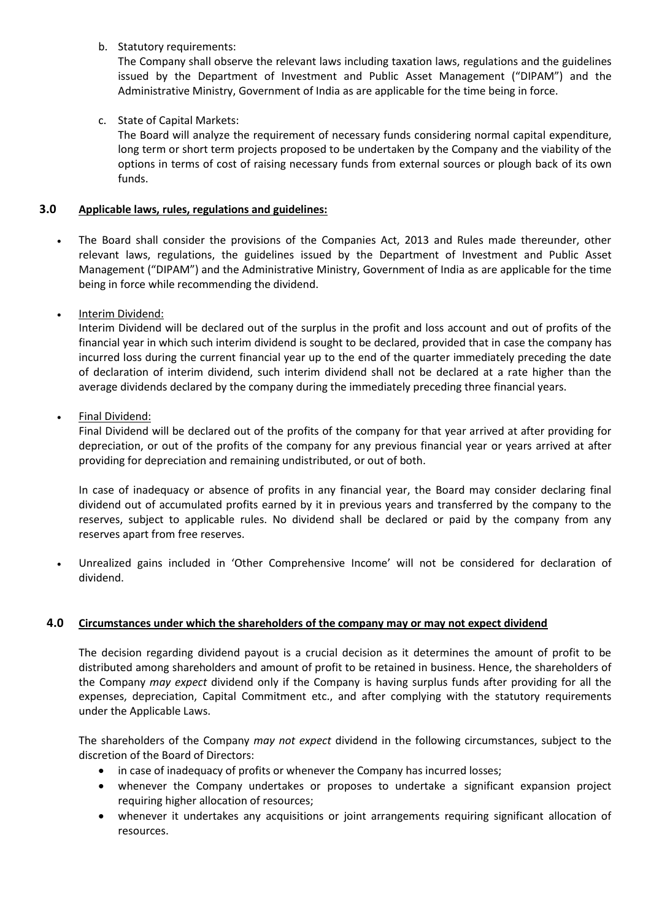# b. Statutory requirements:

The Company shall observe the relevant laws including taxation laws, regulations and the guidelines issued by the Department of Investment and Public Asset Management ("DIPAM") and the Administrative Ministry, Government of India as are applicable for the time being in force.

c. State of Capital Markets:

The Board will analyze the requirement of necessary funds considering normal capital expenditure, long term or short term projects proposed to be undertaken by the Company and the viability of the options in terms of cost of raising necessary funds from external sources or plough back of its own funds.

# **3.0 Applicable laws, rules, regulations and guidelines:**

- The Board shall consider the provisions of the Companies Act, 2013 and Rules made thereunder, other relevant laws, regulations, the guidelines issued by the Department of Investment and Public Asset Management ("DIPAM") and the Administrative Ministry, Government of India as are applicable for the time being in force while recommending the dividend.
- Interim Dividend:

Interim Dividend will be declared out of the surplus in the profit and loss account and out of profits of the financial year in which such interim dividend is sought to be declared, provided that in case the company has incurred loss during the current financial year up to the end of the quarter immediately preceding the date of declaration of interim dividend, such interim dividend shall not be declared at a rate higher than the average dividends declared by the company during the immediately preceding three financial years.

• Final Dividend:

Final Dividend will be declared out of the profits of the company for that year arrived at after providing for depreciation, or out of the profits of the company for any previous financial year or years arrived at after providing for depreciation and remaining undistributed, or out of both.

In case of inadequacy or absence of profits in any financial year, the Board may consider declaring final dividend out of accumulated profits earned by it in previous years and transferred by the company to the reserves, subject to applicable rules. No dividend shall be declared or paid by the company from any reserves apart from free reserves.

 Unrealized gains included in 'Other Comprehensive Income' will not be considered for declaration of dividend.

## **4.0 Circumstances under which the shareholders of the company may or may not expect dividend**

The decision regarding dividend payout is a crucial decision as it determines the amount of profit to be distributed among shareholders and amount of profit to be retained in business. Hence, the shareholders of the Company *may expect* dividend only if the Company is having surplus funds after providing for all the expenses, depreciation, Capital Commitment etc., and after complying with the statutory requirements under the Applicable Laws.

The shareholders of the Company *may not expect* dividend in the following circumstances, subject to the discretion of the Board of Directors:

- in case of inadequacy of profits or whenever the Company has incurred losses;
- whenever the Company undertakes or proposes to undertake a significant expansion project requiring higher allocation of resources;
- whenever it undertakes any acquisitions or joint arrangements requiring significant allocation of resources.